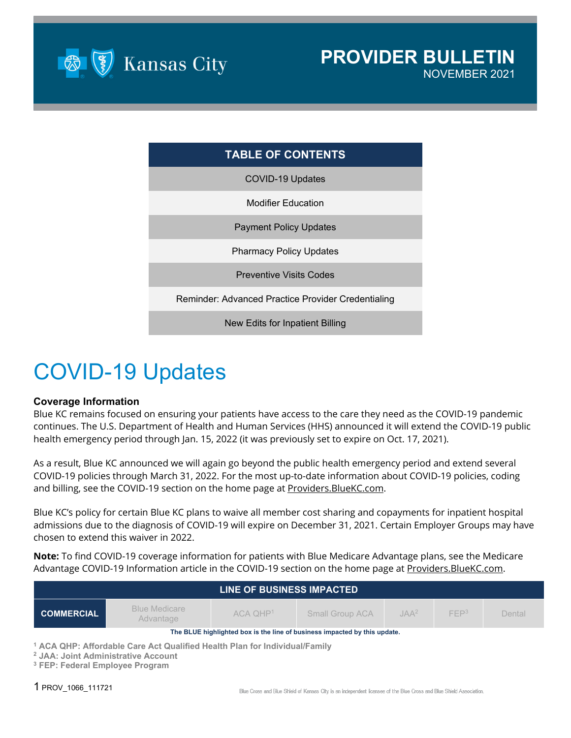

### **TABLE OF CONTENTS**

COVID-19 Updates

Modifier Education

Payment Policy Updates

Pharmacy Policy Updates

Preventive Visits Codes

Reminder: Advanced Practice Provider Credentialing

New Edits for Inpatient Billing

# COVID-19 Updates

#### **Coverage Information**

Blue KC remains focused on ensuring your patients have access to the care they need as the COVID-19 pandemic continues. The U.S. Department of Health and Human Services (HHS) announced it will extend the COVID-19 public health emergency period through Jan. 15, 2022 (it was previously set to expire on Oct. 17, 2021).

As a result, Blue KC announced we will again go beyond the public health emergency period and extend several COVID-19 policies through March 31, 2022. For the most up-to-date information about COVID-19 policies, coding and billing, see the COVID-19 section on the home page a[t Providers.BlueKC.com.](https://providers.bluekc.com/Home/ProviderHome)

Blue KC's policy for certain Blue KC plans to waive all member cost sharing and copayments for inpatient hospital admissions due to the diagnosis of COVID-19 will expire on December 31, 2021. Certain Employer Groups may have chosen to extend this waiver in 2022.

**Note:** To find COVID-19 coverage information for patients with Blue Medicare Advantage plans, see the Medicare Advantage COVID-19 Information article in the COVID-19 section on the home page at Providers. BlueKC.com.

| LINE OF BUSINESS IMPACTED                                                 |                                                                                                                                         |              |                 |         |                  |        |  |
|---------------------------------------------------------------------------|-----------------------------------------------------------------------------------------------------------------------------------------|--------------|-----------------|---------|------------------|--------|--|
| <b>COMMERCIAL</b>                                                         | <b>Blue Medicare</b><br>Advantage                                                                                                       | $ACA$ $QHP1$ | Small Group ACA | $JAA^2$ | FFP <sup>3</sup> | Dental |  |
| The BLUE highlighted box is the line of business impacted by this update. |                                                                                                                                         |              |                 |         |                  |        |  |
| <sup>3</sup> FEP: Federal Employee Program                                | <sup>1</sup> ACA QHP: Affordable Care Act Qualified Health Plan for Individual/Family<br><sup>2</sup> JAA: Joint Administrative Account |              |                 |         |                  |        |  |

1 PROV\_1066\_111721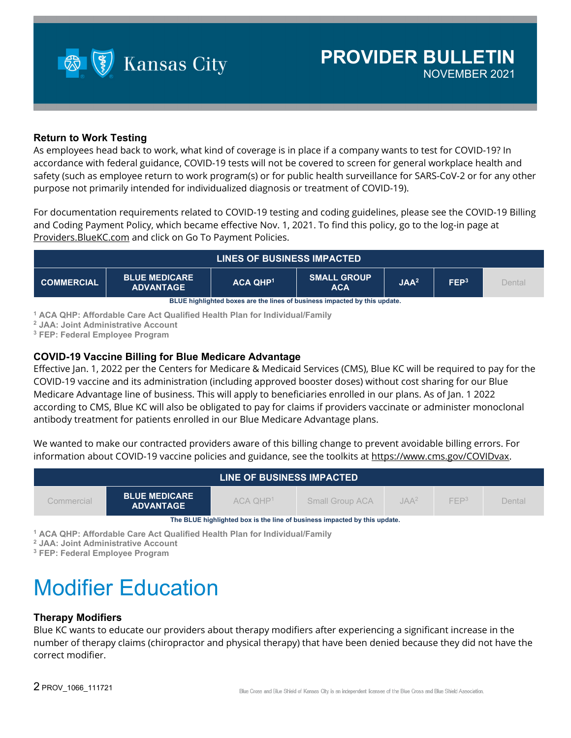

#### **Return to Work Testing**

As employees head back to work, what kind of coverage is in place if a company wants to test for COVID-19? In accordance with federal guidance, COVID-19 tests will not be covered to screen for general workplace health and safety (such as employee return to work program(s) or for public health surveillance for SARS-CoV-2 or for any other purpose not primarily intended for individualized diagnosis or treatment of COVID-19).

For documentation requirements related to COVID-19 testing and coding guidelines, please see the COVID-19 Billing and Coding Payment Policy, which became effective Nov. 1, 2021. To find this policy, go to the log-in page at [Providers.BlueKC.com](https://providers.bluekc.com/ContactUs/PaymentPolicies) and click on Go To Payment Policies.



**<sup>1</sup> ACA QHP: Affordable Care Act Qualified Health Plan for Individual/Family**

**<sup>2</sup> JAA: Joint Administrative Account**

**<sup>3</sup> FEP: Federal Employee Program**

#### **COVID-19 Vaccine Billing for Blue Medicare Advantage**

Effective Jan. 1, 2022 per the Centers for Medicare & Medicaid Services (CMS), Blue KC will be required to pay for the COVID-19 vaccine and its administration (including approved booster doses) without cost sharing for our Blue Medicare Advantage line of business. This will apply to beneficiaries enrolled in our plans. As of Jan. 1 2022 according to CMS, Blue KC will also be obligated to pay for claims if providers vaccinate or administer monoclonal antibody treatment for patients enrolled in our Blue Medicare Advantage plans.

We wanted to make our contracted providers aware of this billing change to prevent avoidable billing errors. For information about COVID-19 vaccine policies and guidance, see the toolkits at [https://www.cms.gov/COVIDvax.](https://www.cms.gov/COVIDvax)

| LINE OF BUSINESS IMPACTED                                                                                                                   |  |  |  |  |  |  |
|---------------------------------------------------------------------------------------------------------------------------------------------|--|--|--|--|--|--|
| <b>BLUE MEDICARE</b><br>FFP <sup>3</sup><br>JAA <sup>2</sup><br>$ACA$ $QHP1$<br>Dental<br>Commercial<br>Small Group ACA<br><b>ADVANTAGE</b> |  |  |  |  |  |  |
| The BLUE highlighted box is the line of business impacted by this update.                                                                   |  |  |  |  |  |  |

**<sup>1</sup> ACA QHP: Affordable Care Act Qualified Health Plan for Individual/Family**

**<sup>2</sup> JAA: Joint Administrative Account**

**<sup>3</sup> FEP: Federal Employee Program**

# Modifier Education

#### **Therapy Modifiers**

Blue KC wants to educate our providers about therapy modifiers after experiencing a significant increase in the number of therapy claims (chiropractor and physical therapy) that have been denied because they did not have the correct modifier.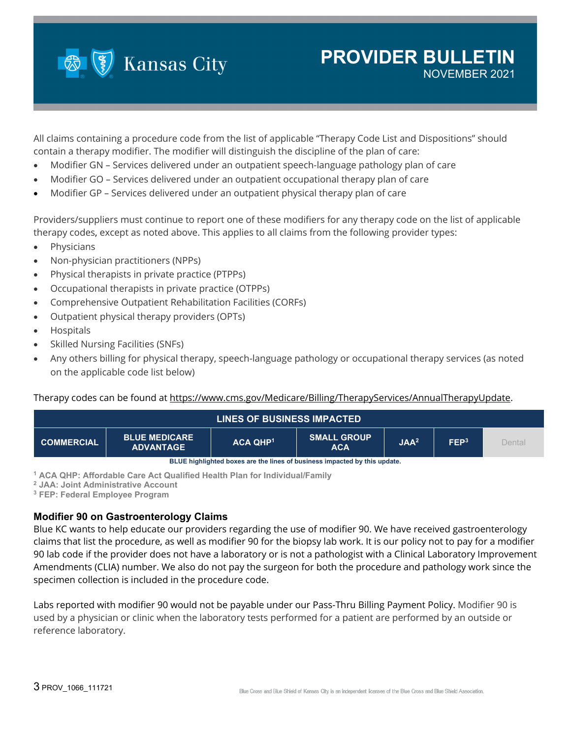

### **PROVIDER BULLETIN** NOVEMBER 2021

All claims containing a procedure code from the list of applicable "Therapy Code List and Dispositions" should contain a therapy modifier. The modifier will distinguish the discipline of the plan of care:

- Modifier GN Services delivered under an outpatient speech-language pathology plan of care
- Modifier GO Services delivered under an outpatient occupational therapy plan of care
- Modifier GP Services delivered under an outpatient physical therapy plan of care

Providers/suppliers must continue to report one of these modifiers for any therapy code on the list of applicable therapy codes, except as noted above. This applies to all claims from the following provider types:

- Physicians
- Non-physician practitioners (NPPs)
- Physical therapists in private practice (PTPPs)
- Occupational therapists in private practice (OTPPs)
- Comprehensive Outpatient Rehabilitation Facilities (CORFs)
- Outpatient physical therapy providers (OPTs)
- Hospitals
- Skilled Nursing Facilities (SNFs)
- Any others billing for physical therapy, speech-language pathology or occupational therapy services (as noted on the applicable code list below)

Therapy codes can be found at [https://www.cms.gov/Medicare/Billing/TherapyServices/AnnualTherapyUpdate.](https://www.cms.gov/Medicare/Billing/TherapyServices/AnnualTherapyUpdate)



**<sup>1</sup> ACA QHP: Affordable Care Act Qualified Health Plan for Individual/Family**

**<sup>2</sup> JAA: Joint Administrative Account**

**<sup>3</sup> FEP: Federal Employee Program**

#### **Modifier 90 on Gastroenterology Claims**

Blue KC wants to help educate our providers regarding the use of modifier 90. We have received gastroenterology claims that list the procedure, as well as modifier 90 for the biopsy lab work. It is our policy not to pay for a modifier 90 lab code if the provider does not have a laboratory or is not a pathologist with a Clinical Laboratory Improvement Amendments (CLIA) number. We also do not pay the surgeon for both the procedure and pathology work since the specimen collection is included in the procedure code.

Labs reported with modifier 90 would not be payable under our Pass-Thru Billing Payment Policy. Modifier 90 is used by a physician or clinic when the laboratory tests performed for a patient are performed by an outside or reference laboratory.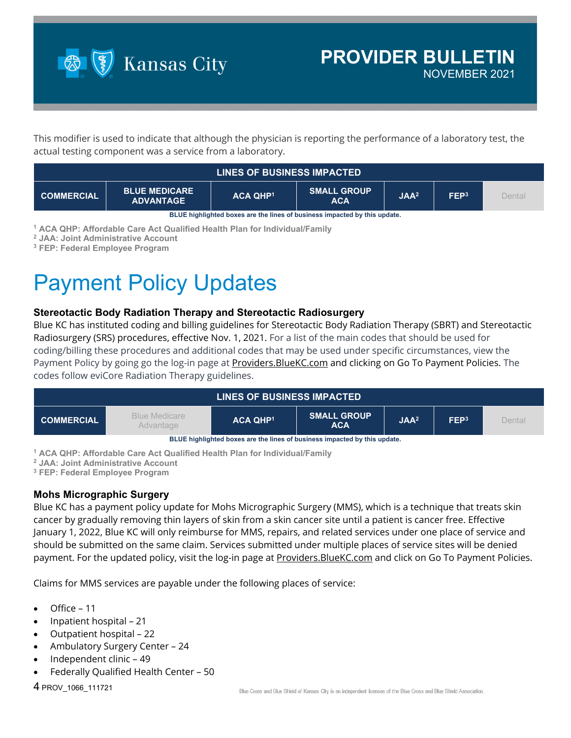

This modifier is used to indicate that although the physician is reporting the performance of a laboratory test, the actual testing component was a service from a laboratory.

|                                                                           | <b>LINES OF BUSINESS IMPACTED</b>        |                      |                                  |                  |                  |        |
|---------------------------------------------------------------------------|------------------------------------------|----------------------|----------------------------------|------------------|------------------|--------|
| <b>COMMERCIAL</b>                                                         | <b>BLUE MEDICARE</b><br><b>ADVANTAGE</b> | ACA OHP <sup>1</sup> | <b>SMALL GROUP</b><br><b>ACA</b> | JAA <sup>2</sup> | FEP <sup>3</sup> | Dental |
| BLUE highlighted boxes are the lines of business impacted by this update. |                                          |                      |                                  |                  |                  |        |

**<sup>1</sup> ACA QHP: Affordable Care Act Qualified Health Plan for Individual/Family**

**<sup>2</sup> JAA: Joint Administrative Account**

**<sup>3</sup> FEP: Federal Employee Program**

# Payment Policy Updates

#### **Stereotactic Body Radiation Therapy and Stereotactic Radiosurgery**

Blue KC has instituted coding and billing guidelines for Stereotactic Body Radiation Therapy (SBRT) and Stereotactic Radiosurgery (SRS) procedures, effective Nov. 1, 2021. For a list of the main codes that should be used for coding/billing these procedures and additional codes that may be used under specific circumstances, view the Payment Policy by going go the log-in page at Providers. BlueKC.com and clicking on Go To Payment Policies. The codes follow eviCore Radiation Therapy guidelines.

|                                                                           | <b>LINES OF BUSINESS IMPACTED</b> |                 |                                  |                  |                  |        |  |
|---------------------------------------------------------------------------|-----------------------------------|-----------------|----------------------------------|------------------|------------------|--------|--|
| <b>COMMERCIAL</b>                                                         | Blue Medicare<br>Advantage        | <b>ACA QHP1</b> | <b>SMALL GROUP</b><br><b>ACA</b> | JAA <sup>2</sup> | FEP <sup>3</sup> | Dental |  |
| BLUE highlighted boxes are the lines of business impacted by this update. |                                   |                 |                                  |                  |                  |        |  |

**<sup>1</sup> ACA QHP: Affordable Care Act Qualified Health Plan for Individual/Family**

**<sup>2</sup> JAA: Joint Administrative Account**

**<sup>3</sup> FEP: Federal Employee Program**

#### **Mohs Micrographic Surgery**

Blue KC has a payment policy update for Mohs Micrographic Surgery (MMS), which is a technique that treats skin cancer by gradually removing thin layers of skin from a skin cancer site until a patient is cancer free. Effective January 1, 2022, Blue KC will only reimburse for MMS, repairs, and related services under one place of service and should be submitted on the same claim. Services submitted under multiple places of service sites will be denied payment. For the updated policy, visit the log-in page at Providers. BlueKC.com and click on Go To Payment Policies.

Claims for MMS services are payable under the following places of service:

- Office 11
- Inpatient hospital 21
- Outpatient hospital 22
- Ambulatory Surgery Center 24
- Independent clinic 49
- Federally Qualified Health Center 50

4 PROV\_1066\_111721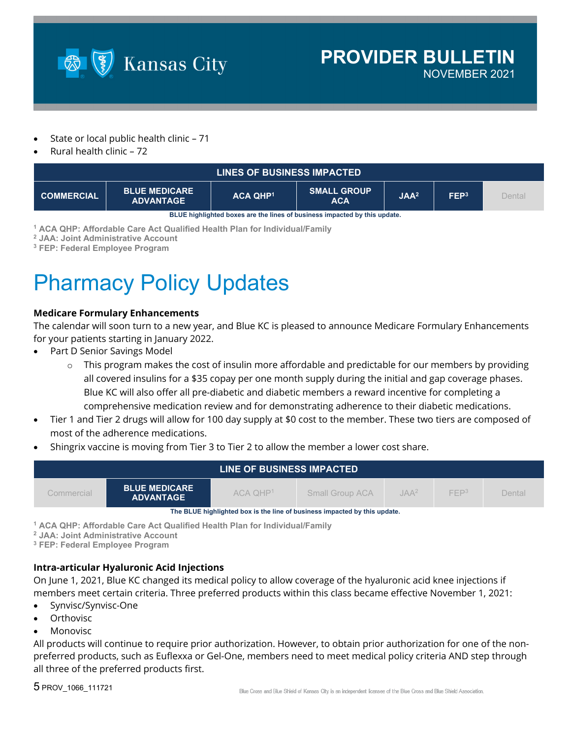

- State or local public health clinic 71
- Rural health clinic 72

|                   | <b>LINES OF BUSINESS IMPACTED</b>        |                 |                                                                           |                  |                  |        |
|-------------------|------------------------------------------|-----------------|---------------------------------------------------------------------------|------------------|------------------|--------|
| <b>COMMERCIAL</b> | <b>BLUE MEDICARE</b><br><b>ADVANTAGE</b> | <b>ACA QHP1</b> | <b>SMALL GROUP</b><br><b>ACA</b>                                          | JAA <sup>2</sup> | FEP <sup>3</sup> | Dental |
|                   |                                          |                 | DHIE kinklinkted kavaa ara tka linga af kusingaa impaatad ku tkia undata. |                  |                  |        |

**BLUE highlighted boxes are the lines of business impacted by this update.**

**<sup>1</sup> ACA QHP: Affordable Care Act Qualified Health Plan for Individual/Family**

**<sup>2</sup> JAA: Joint Administrative Account**

**<sup>3</sup> FEP: Federal Employee Program**

# Pharmacy Policy Updates

#### **Medicare Formulary Enhancements**

The calendar will soon turn to a new year, and Blue KC is pleased to announce Medicare Formulary Enhancements for your patients starting in January 2022.

- Part D Senior Savings Model
	- $\circ$  This program makes the cost of insulin more affordable and predictable for our members by providing all covered insulins for a \$35 copay per one month supply during the initial and gap coverage phases. Blue KC will also offer all pre-diabetic and diabetic members a reward incentive for completing a comprehensive medication review and for demonstrating adherence to their diabetic medications.
- Tier 1 and Tier 2 drugs will allow for 100 day supply at \$0 cost to the member. These two tiers are composed of most of the adherence medications.
- Shingrix vaccine is moving from Tier 3 to Tier 2 to allow the member a lower cost share.

|                                                                                                                                                   |                                                                           | LINE OF BUSINESS IMPACTED |  |  |  |  |  |
|---------------------------------------------------------------------------------------------------------------------------------------------------|---------------------------------------------------------------------------|---------------------------|--|--|--|--|--|
| <b>BLUE MEDICARE</b><br>FFP <sup>3</sup><br>ACA OHP <sup>1</sup><br>$IAA^2$<br>Dental<br><b>Small Group ACA</b><br>Commercial<br><b>ADVANTAGE</b> |                                                                           |                           |  |  |  |  |  |
|                                                                                                                                                   | The BLUE highlighted box is the line of business impacted by this update. |                           |  |  |  |  |  |

**<sup>1</sup> ACA QHP: Affordable Care Act Qualified Health Plan for Individual/Family**

**<sup>2</sup> JAA: Joint Administrative Account**

**<sup>3</sup> FEP: Federal Employee Program**

#### **Intra-articular Hyaluronic Acid Injections**

On June 1, 2021, Blue KC changed its medical policy to allow coverage of the hyaluronic acid knee injections if members meet certain criteria. Three preferred products within this class became effective November 1, 2021:

- Synvisc/Synvisc-One
- **Orthovisc**
- **Monovisc**

All products will continue to require prior authorization. However, to obtain prior authorization for one of the nonpreferred products, such as Euflexxa or Gel-One, members need to meet medical policy criteria AND step through all three of the preferred products first.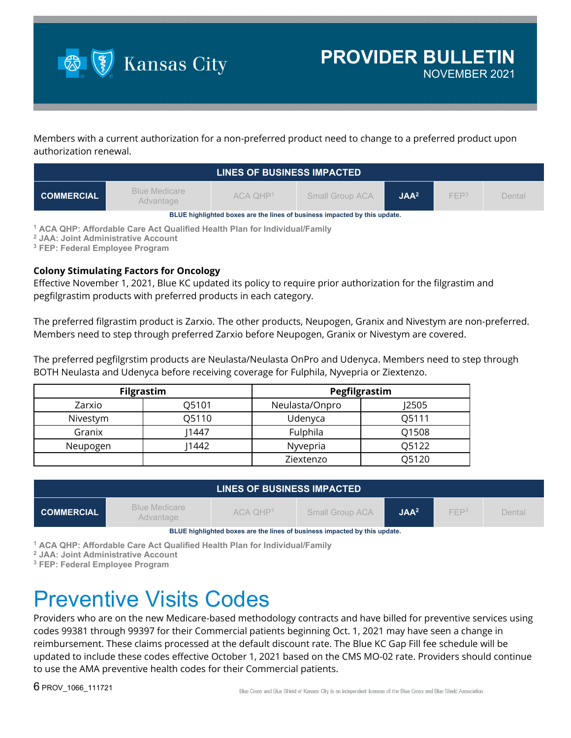

Members with a current authorization for a non-preferred product need to change to a preferred product upon authorization renewal.

|                                                                           | LINES OF BUSINESS IMPACTED        |              |                        |                  |                  |        |  |
|---------------------------------------------------------------------------|-----------------------------------|--------------|------------------------|------------------|------------------|--------|--|
| <b>COMMERCIAL</b>                                                         | <b>Blue Medicare</b><br>Advantage | $ACA$ $OHP1$ | <b>Small Group ACA</b> | JAA <sup>2</sup> | FFP <sup>3</sup> | Dental |  |
| BLUE highlighted boxes are the lines of business impacted by this update. |                                   |              |                        |                  |                  |        |  |

**<sup>1</sup> ACA QHP: Affordable Care Act Qualified Health Plan for Individual/Family**

**<sup>2</sup> JAA: Joint Administrative Account**

**<sup>3</sup> FEP: Federal Employee Program**

#### **Colony Stimulating Factors for Oncology**

Effective November 1, 2021, Blue KC updated its policy to require prior authorization for the filgrastim and pegfilgrastim products with preferred products in each category.

The preferred filgrastim product is Zarxio. The other products, Neupogen, Granix and Nivestym are non-preferred. Members need to step through preferred Zarxio before Neupogen, Granix or Nivestym are covered.

The preferred pegfilgrstim products are Neulasta/Neulasta OnPro and Udenyca. Members need to step through BOTH Neulasta and Udenyca before receiving coverage for Fulphila, Nyvepria or Ziextenzo.

| <b>Filgrastim</b> |       | Pegfilgrastim  |       |  |
|-------------------|-------|----------------|-------|--|
| Zarxio            | O5101 | Neulasta/Onpro | 12505 |  |
| Nivestym          | O5110 | Udenyca        | O5111 |  |
| Granix            | 1447  | Fulphila       | Q1508 |  |
| Neupogen          | 1442  | Nyvepria       | 05122 |  |
|                   |       | Ziextenzo      | O5120 |  |

| <b>Blue Medicare</b><br>FFP <sup>3</sup><br>$ACA$ $OHP1$<br>JAA <sup>2</sup><br><b>COMMERCIAL</b><br><b>Small Group ACA</b><br>Dental<br>Advantage | LINES OF BUSINESS IMPACTED |  |  |  |  |  |  |
|----------------------------------------------------------------------------------------------------------------------------------------------------|----------------------------|--|--|--|--|--|--|
|                                                                                                                                                    |                            |  |  |  |  |  |  |

**BLUE highlighted boxes are the lines of business impacted by this update.**

**<sup>1</sup> ACA QHP: Affordable Care Act Qualified Health Plan for Individual/Family**

**<sup>2</sup> JAA: Joint Administrative Account**

**<sup>3</sup> FEP: Federal Employee Program**

### Preventive Visits Codes

Providers who are on the new Medicare-based methodology contracts and have billed for preventive services using codes 99381 through 99397 for their Commercial patients beginning Oct. 1, 2021 may have seen a change in reimbursement. These claims processed at the default discount rate. The Blue KC Gap Fill fee schedule will be updated to include these codes effective October 1, 2021 based on the CMS MO-02 rate. Providers should continue to use the AMA preventive health codes for their Commercial patients.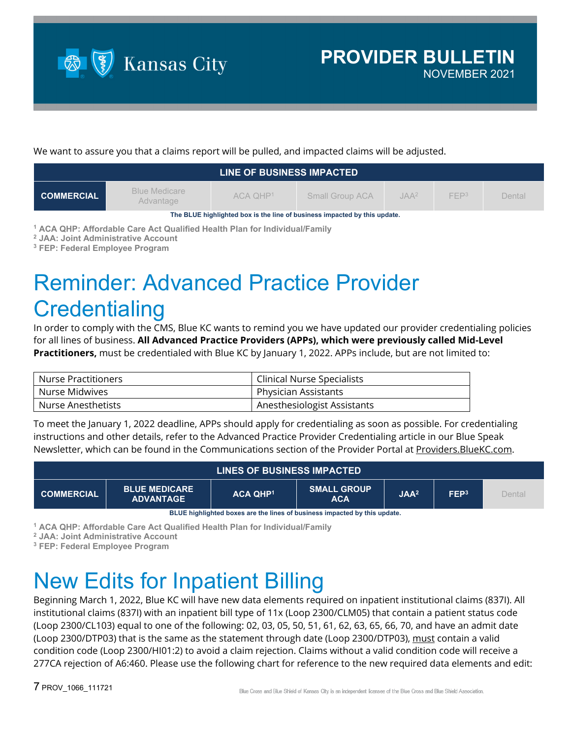

We want to assure you that a claims report will be pulled, and impacted claims will be adjusted.

|                                                                           | LINE OF BUSINESS IMPACTED         |              |                        |                  |                  |        |  |
|---------------------------------------------------------------------------|-----------------------------------|--------------|------------------------|------------------|------------------|--------|--|
| <b>COMMERCIAL</b>                                                         | <b>Blue Medicare</b><br>Advantage | $ACA$ $OHP1$ | <b>Small Group ACA</b> | JAA <sup>2</sup> | FFP <sup>3</sup> | Dental |  |
| The BLUE highlighted box is the line of business impacted by this update. |                                   |              |                        |                  |                  |        |  |

**<sup>1</sup> ACA QHP: Affordable Care Act Qualified Health Plan for Individual/Family**

**<sup>2</sup> JAA: Joint Administrative Account**

**<sup>3</sup> FEP: Federal Employee Program**

# Reminder: Advanced Practice Provider **Credentialing**

In order to comply with the CMS, Blue KC wants to remind you we have updated our provider credentialing policies for all lines of business. **All Advanced Practice Providers (APPs), which were previously called Mid-Level Practitioners,** must be credentialed with Blue KC by January 1, 2022. APPs include, but are not limited to:

| Nurse Practitioners | Clinical Nurse Specialists  |
|---------------------|-----------------------------|
| Nurse Midwives      | Physician Assistants        |
| Nurse Anesthetists  | Anesthesiologist Assistants |

To meet the January 1, 2022 deadline, APPs should apply for credentialing as soon as possible. For credentialing instructions and other details, refer to the Advanced Practice Provider Credentialing article in our Blue Speak Newsletter, which can be found in the Communications section of the Provider Portal at [Providers.BlueKC.com.](https://providers.bluekc.com/Communications)

| <b>LINES OF BUSINESS IMPACTED</b> |                                          |                 |                                  |                  |                  |        |
|-----------------------------------|------------------------------------------|-----------------|----------------------------------|------------------|------------------|--------|
| <b>COMMERCIAL</b>                 | <b>BLUE MEDICARE</b><br><b>ADVANTAGE</b> | <b>ACA QHP1</b> | <b>SMALL GROUP</b><br><b>ACA</b> | JAA <sup>2</sup> | FEP <sup>3</sup> | Dental |

**BLUE highlighted boxes are the lines of business impacted by this update.**

**<sup>1</sup> ACA QHP: Affordable Care Act Qualified Health Plan for Individual/Family**

**<sup>2</sup> JAA: Joint Administrative Account**

**<sup>3</sup> FEP: Federal Employee Program**

# New Edits for Inpatient Billing

Beginning March 1, 2022, Blue KC will have new data elements required on inpatient institutional claims (837I). All institutional claims (837I) with an inpatient bill type of 11x (Loop 2300/CLM05) that contain a patient status code (Loop 2300/CL103) equal to one of the following: 02, 03, 05, 50, 51, 61, 62, 63, 65, 66, 70, and have an admit date (Loop 2300/DTP03) that is the same as the statement through date (Loop 2300/DTP03), must contain a valid condition code (Loop 2300/HI01:2) to avoid a claim rejection. Claims without a valid condition code will receive a 277CA rejection of A6:460. Please use the following chart for reference to the new required data elements and edit: